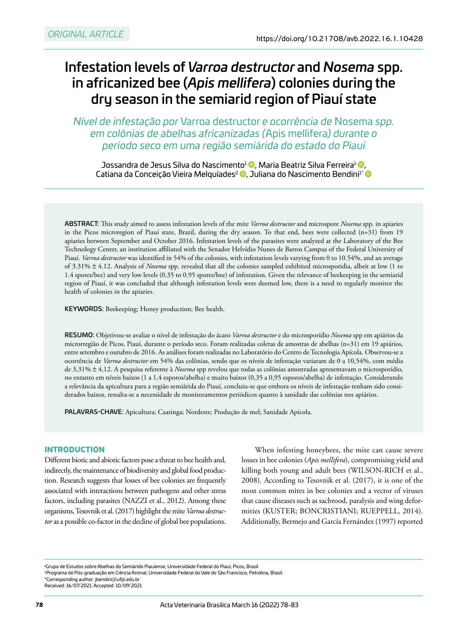# Infestation levels of *Varroa destructor* and *Nosema* spp. in africanized bee (*Apis mellifera*) colonies during the dry season in the semiarid region of Piauí state

*Nível de infestação por* Varroa destructor *e ocorrência de* Nosema *spp. em colônias de abelhas africanizadas (*Apis mellifera*) durante o período seco em uma região semiárida do estado do Piauí*

Jossandra de Jesus Silva do Nascimento<sup>1</sup> (, Maria Beatriz Silva Ferreira<sup>1</sup> , Catiana da Conceição Vieira Melquíades<sup>2</sup> ©, Juliana do Nascimento Bendini<sup>1</sup>[\\*](https://orcid.org/0000-0001-7227-7170) ©

ABSTRACT: This study aimed to assess infestation levels of the mite *Varroa destructor* and microspore *Nosema* spp. in apiaries in the Picos microregion of Piauí state, Brazil, during the dry season. To that end, bees were collected (n=31) from 19 apiaries between September and October 2016. Infestation levels of the parasites were analyzed at the Laboratory of the Bee Technology Center, an institution affiliated with the Senador Helvídio Nunes de Barros Campus of the Federal University of Piauí. *Varroa destructor* was identified in 54% of the colonies, with infestation levels varying from 0 to 10.54%, and an average of 3.31% ± 4.12. Analysis of *Nosema* spp. revealed that all the colonies sampled exhibited microsporidia, albeit at low (1 to 1.4 spores/bee) and very low levels (0.35 to 0.95 spores/bee) of infestation. Given the relevance of beekeeping in the semiarid region of Piauí, it was concluded that although infestation levels were deemed low, there is a need to regularly monitor the health of colonies in the apiaries.

KEYWORDS: Beekeeping; Honey production; Bee health.

RESUMO: Objetivou-se avaliar o nível de infestação do ácaro *Varroa destructor* e do microsporídio *Nosema* spp em apiários da microrregião de Picos, Piauí, durante o período seco. Foram realizadas coletas de amostras de abelhas (n=31) em 19 apiários, entre setembro e outubro de 2016. As análises foram realizadas no Laboratório do Centro de Tecnologia Apícola. Observou-se a ocorrência de *Varroa destructor* em 54% das colônias*,* sendo que os níveis de infestação variaram de 0 a 10,54%, com média de 3,31% ± 4,12. A pesquisa referente à *Nosema* spp revelou que todas as colônias amostradas apresentavam o microsporídio, no entanto em níveis baixos (1 a 1,4 esporos/abelha) e muito baixos (0,35 a 0,95 esporos/abelha) de infestação. Considerando a relevância da apicultura para a região semiárida do Piauí, concluiu-se que embora os níveis de infestação tenham sido considerados baixos, ressalta-se a necessidade de monitoramentos periódicos quanto à sanidade das colônias nos apiários.

PALAVRAS-CHAVE: Apicultura; Caatinga; Nordeste; Produção de mel; Sanidade Apícola.

## **INTRODUCTION**

Different biotic and abiotic factors pose a threat to bee health and, indirectly, the maintenance of biodiversity and global food production. Research suggests that losses of bee colonies are frequently associated with interactions between pathogens and other stress factors, including parasites (NAZZI et al., 2012). Among these organisms, Tesovnik et al. (2017) highlight the mite *Varroa destructor* as a possible co-factor in the decline of global bee populations.

When infesting honeybees, the mite can cause severe losses in bee colonies (*Apis mellifera*), compromising yield and killing both young and adult bees (WILSON-RICH et al., 2008). According to Tesovnik et al. (2017), it is one of the most common mites in bee colonies and a vector of viruses that cause diseases such as sacbrood, paralysis and wing deformities (KUSTER; BONCRISTIANI; RUEPPELL, 2014). Additionally, Bermejo and García Fernández (1997) reported

1 Grupo de Estudos sobre Abelhas do Semiárido Piauiense, Universidade Federal do Piauí, Picos, Brasil 2Programa de Pós-graduação em Ciência Animal, Universidade Federal do Vale do São Francisco, Petrolina, Brasil. \*Corresponding author: [jbendini@ufpi.edu.br](mailto:jbendini@ufpi.edu.br)  Received: 16/07/2021. Accepted: 10/09/2021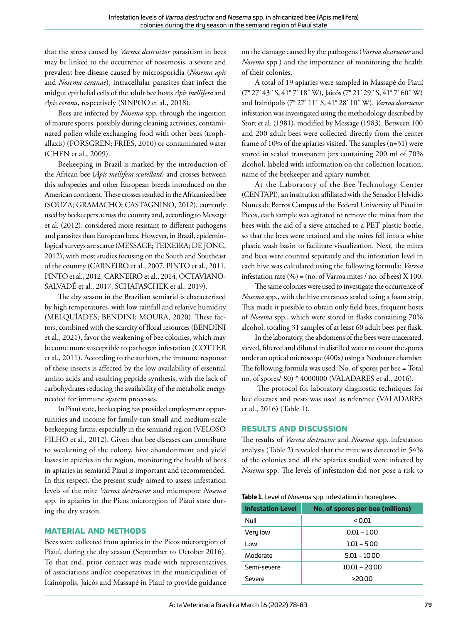that the stress caused by *Varroa destructor* parasitism in bees may be linked to the occurrence of nosemosis, a severe and prevalent bee disease caused by microsporidia (*Nosema apis* and *Nosema ceranae*), intracellular parasites that infect the midgut epithelial cells of the adult bee hosts *Apis mellifera* and *Apis cerana*, respectively (SINPOO et al., 2018).

Bees are infected by *Nosema* spp. through the ingestion of mature spores, possibly during cleaning activities, contaminated pollen while exchanging food with other bees (trophallaxis) (FORSGREN; FRIES, 2010) or contaminated water (CHEN et al., 2009).

Beekeeping in Brazil is marked by the introduction of the African bee (*Apis mellifera scutellata*) and crosses between this subspecies and other European breeds introduced on the American continent. These crosses resulted in the Africanized bee (SOUZA; GRAMACHO; CASTAGNINO, 2012), currently used by beekeepers across the country and, according to Message et al. (2012), considered more resistant to different pathogens and parasites than European bees. However, in Brazil, epidemiological surveys are scarce (MESSAGE; TEIXEIRA; DE JONG, 2012), with most studies focusing on the South and Southeast of the country (CARNEIRO et al., 2007, PINTO et al., 2011, PINTO et al., 2012, CARNEIRO et al., 2014, OCTAVIANO-SALVADÉ et al., 2017, SCHAFASCHEK et al., 2019).

The dry season in the Brazilian semiarid is characterized by high temperatures, with low rainfall and relative humidity (MELQUÍADES; BENDINI; MOURA, 2020). These factors, combined with the scarcity of floral resources (BENDINI et al., 2021), favor the weakening of bee colonies, which may become more susceptible to pathogen infestation (COTTER et al., 2011). According to the authors, the immune response of these insects is affected by the low availability of essential amino acids and resulting peptide synthesis, with the lack of carbohydrates reducing the availability of the metabolic energy needed for immune system processes.

In Piauí state, beekeeping has provided employment opportunities and income for family-run small and medium-scale beekeeping farms, especially in the semiarid region (VELOSO FILHO et al., 2012). Given that bee diseases can contribute to weakening of the colony, hive abandonment and yield losses in apiaries in the region, monitoring the health of bees in apiaries in semiarid Piauí is important and recommended. In this respect, the present study aimed to assess infestation levels of the mite *Varroa destructor* and microspore *Nosema* spp. in apiaries in the Picos microregion of Piauí state during the dry season.

## **MATERIAL AND METHODS**

Bees were collected from apiaries in the Picos microregion of Piauí, during the dry season (September to October 2016). To that end, prior contact was made with representatives of associations and/or cooperatives in the municipalities of Itainópolis, Jaicós and Massapê in Piauí to provide guidance

on the damage caused by the pathogens (*Varroa destructor* and *Nosema* spp.) and the importance of monitoring the health of their colonies.

A total of 19 apiaries were sampled in Massapê do Piauí (7° 27' 43'' S, 41° 7' 18'' W), Jaicós (7° 21' 29'' S, 41° 7' 60'' W) and Itainópolis (7° 27' 11'' S, 41° 28' 10'' W). *Varroa destructor* infestation was investigated using the methodology described by Stort et al. (1981), modified by Message (1983). Between 100 and 200 adult bees were collected directly from the center frame of 10% of the apiaries visited. The samples (n=31) were stored in sealed transparent jars containing 200 ml of 70% alcohol, labeled with information on the collection location, name of the beekeeper and apiary number.

At the Laboratory of the Bee Technology Center (CENTAPI), an institution affiliated with the Senador Helvídio Nunes de Barros Campus of the Federal University of Piauí in Picos, each sample was agitated to remove the mites from the bees with the aid of a sieve attached to a PET plastic bottle, so that the bees were retained and the mites fell into a white plastic wash basin to facilitate visualization. Next, the mites and bees were counted separately and the infestation level in each hive was calculated using the following formula: *Varroa*  infestation rate  $(\% ) = \text{(no. of Varroa mites } / \text{ no. of bees)} X 100.$ 

The same colonies were used to investigate the occurrence of *Nosema* spp., with the hive entrances sealed using a foam strip. This made it possible to obtain only field bees, frequent hosts of *Nosema* spp., which were stored in flasks containing 70% alcohol, totaling 31 samples of at least 60 adult bees per flask.

In the laboratory, the abdomens of the bees were macerated, sieved, filtered and diluted in distilled water to count the spores under an optical microscope (400x) using a Neubauer chamber. The following formula was used: No. of spores per bee = Total no. of spores/ 80) \* 4000000 (VALADARES et al., 2016).

 The protocol for laboratory diagnostic techniques for bee diseases and pests was used as reference (VALADARES et al., 2016) (Table 1).

## **RESULTS AND DISCUSSION**

The results of *Varroa destructor* and *Nosema* spp. infestation analysis (Table 2) revealed that the mite was detected in 54% of the colonies and all the apiaries studied were infected by *Nosema* spp. The levels of infestation did not pose a risk to

#### **Table 1.** Level of *Nosema* spp. infestation in honeybees.

| <b>Infestation Level</b> | No. of spores per bee (millions) |
|--------------------------|----------------------------------|
| Null                     | < 0.01                           |
| Very low                 | $0.01 - 1.00$                    |
| l ow                     | $1.01 - 5.00$                    |
| Moderate                 | $5.01 - 10.00$                   |
| Semi-severe              | 10.01 – 20.00                    |
| Severe                   | >20.00                           |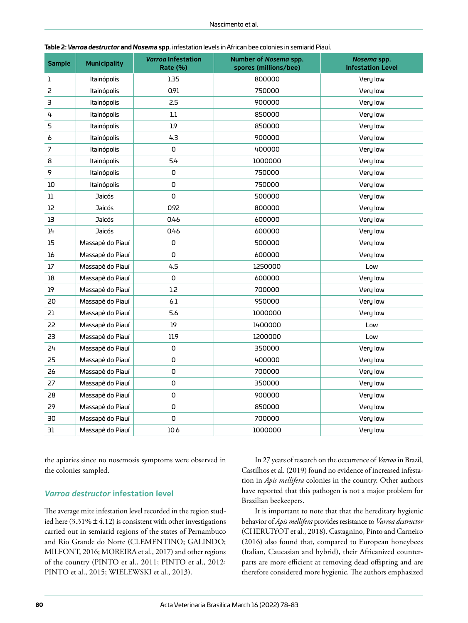| <b>Sample</b> | <b>Municipality</b> | Varroa Infestation<br><b>Rate (%)</b> | Number of Nosema spp.<br>spores (millions/bee) | Nosema spp.<br><b>Infestation Level</b> |
|---------------|---------------------|---------------------------------------|------------------------------------------------|-----------------------------------------|
| 1             | Itainópolis         | 1.35                                  | 800000                                         | Very low                                |
| 2             | Itainópolis         | 0.91                                  | 750000                                         | Very low                                |
| з             | Itainópolis         | 2.5                                   | 900000                                         | Very low                                |
| 4             | Itainópolis         | $1.1\,$                               | 850000                                         | Very low                                |
| 5             | Itainópolis         | 19                                    | 850000                                         | Very low                                |
| 6             | Itainópolis         | 4.3                                   | 900000                                         | Very low                                |
| 7             | Itainópolis         | 0                                     | 400000                                         | Very low                                |
| 8             | Itainópolis         | 5.4                                   | 1000000                                        | Very low                                |
| 9             | Itainópolis         | 0                                     | 750000                                         | Very low                                |
| 10            | Itainópolis         | $\mathsf 0$                           | 750000                                         | Very low                                |
| 11            | Jaicós              | 0                                     | 500000                                         | Very low                                |
| 12            | Jaicós              | 0.92                                  | 800000                                         | Very low                                |
| 13            | Jaicós              | 0.46                                  | 600000                                         | Very low                                |
| 14            | Jaicós              | 0.46                                  | 600000                                         | Very low                                |
| 15            | Massapê do Piauí    | 0                                     | 500000                                         | Very low                                |
| 16            | Massapê do Piauí    | 0                                     | 600000                                         | Very low                                |
| 17            | Massapê do Piauí    | 4.5                                   | 1250000                                        | Low                                     |
| 18            | Massapê do Piauí    | 0                                     | 600000                                         | Very low                                |
| 19            | Massapê do Piauí    | 1.2                                   | 700000                                         | Very low                                |
| 20            | Massapê do Piauí    | 6.1                                   | 950000                                         | Very low                                |
| 21            | Massapê do Piauí    | 5.6                                   | 1000000                                        | Very low                                |
| 22            | Massapê do Piauí    | 19                                    | 1400000                                        | Low                                     |
| 23            | Massapê do Piauí    | 11.9                                  | 1200000                                        | Low                                     |
| 24            | Massapê do Piauí    | 0                                     | 350000                                         | Very low                                |
| 25            | Massapê do Piauí    | $\mathsf 0$                           | 400000                                         | Very low                                |
| 26            | Massapê do Piauí    | 0                                     | 700000                                         | Very low                                |
| 27            | Massapê do Piauí    | 0                                     | 350000                                         | Very low                                |
| 28            | Massapê do Piauí    | 0                                     | 900000                                         | Very low                                |
| 29            | Massapê do Piauí    | 0                                     | 850000                                         | Very low                                |
| 30            | Massapê do Piauí    | 0                                     | 700000                                         | Very low                                |
| 31            | Massapê do Piauí    | 10.6                                  | 1000000                                        | Very low                                |

|  | <b>Table 2: <i>Varroa destructor</i> and Nosema spp.</b> infestation levels in African bee colonies in semiarid Piauí. |
|--|------------------------------------------------------------------------------------------------------------------------|
|--|------------------------------------------------------------------------------------------------------------------------|

the apiaries since no nosemosis symptoms were observed in the colonies sampled.

## *Varroa destructor* infestation level

The average mite infestation level recorded in the region studied here  $(3.31\% \pm 4.12)$  is consistent with other investigations carried out in semiarid regions of the states of Pernambuco and Rio Grande do Norte (CLEMENTINO; GALINDO; MILFONT, 2016; MOREIRA et al., 2017) and other regions of the country (PINTO et al., 2011; PINTO et al., 2012; PINTO et al., 2015; WIELEWSKI et al., 2013).

In 27 years of research on the occurrence of *Varroa* in Brazil, Castilhos et al. (2019) found no evidence of increased infestation in *Apis mellifera* colonies in the country. Other authors have reported that this pathogen is not a major problem for Brazilian beekeepers.

It is important to note that that the hereditary hygienic behavior of *Apis mellifera* provides resistance to *Varroa destructor* (CHERUIYOT et al., 2018). Castagnino, Pinto and Carneiro (2016) also found that, compared to European honeybees (Italian, Caucasian and hybrid), their Africanized counterparts are more efficient at removing dead offspring and are therefore considered more hygienic. The authors emphasized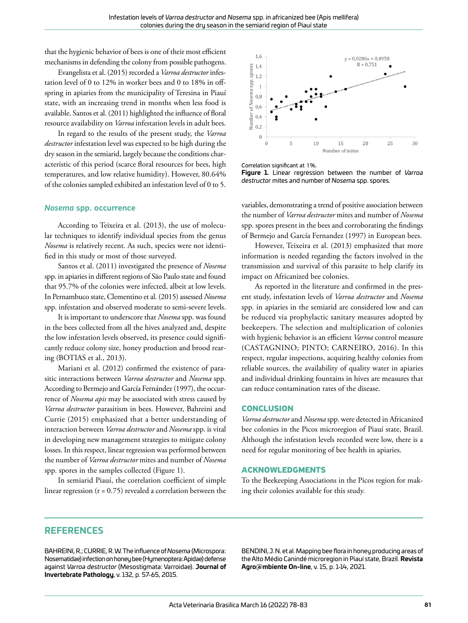that the hygienic behavior of bees is one of their most efficient mechanisms in defending the colony from possible pathogens.

Evangelista et al. (2015) recorded a *Varroa destructor* infestation level of 0 to 12% in worker bees and 0 to 18% in offspring in apiaries from the municipality of Teresina in Piauí state, with an increasing trend in months when less food is available. Santos et al. (2011) highlighted the influence of floral resource availability on *Varroa* infestation levels in adult bees.

In regard to the results of the present study, the *Varroa destructor* infestation level was expected to be high during the dry season in the semiarid, largely because the conditions characteristic of this period (scarce floral resources for bees, high temperatures, and low relative humidity). However, 80.64% of the colonies sampled exhibited an infestation level of 0 to 5.

#### *Nosema* spp. occurrence

According to Teixeira et al. (2013), the use of molecular techniques to identify individual species from the genus *Nosema* is relatively recent. As such, species were not identified in this study or most of those surveyed.

Santos et al. (2011) investigated the presence of *Nosema* spp. in apiaries in different regions of São Paulo state and found that 95.7% of the colonies were infected, albeit at low levels. In Pernambuco state, Clementino et al. (2015) assessed *Nosema* spp. infestation and observed moderate to semi-severe levels.

It is important to underscore that *Nosema* spp. was found in the bees collected from all the hives analyzed and, despite the low infestation levels observed, its presence could significantly reduce colony size, honey production and brood rearing (BOTIAS et al., 2013).

Mariani et al. (2012) confirmed the existence of parasitic interactions between *Varroa destructor* and *Nosema* spp. According to Bermejo and García Fernández (1997), the occurrence of *Nosema apis* may be associated with stress caused by *Varroa destructor* parasitism in bees. However, Bahreini and Currie (2015) emphasized that a better understanding of interaction between *Varroa destructor* and *Nosema* spp. is vital in developing new management strategies to mitigate colony losses. In this respect, linear regression was performed between the number of *Varroa destructor* mites and number of *Nosema*  spp. spores in the samples collected (Figure 1).

In semiarid Piauí, the correlation coefficient of simple linear regression ( $r = 0.75$ ) revealed a correlation between the



Correlation significant at 1%. **Figure 1.** Linear regression between the number of *Varroa destructor* mites and number of *Nosema* spp. spores.

variables, demonstrating a trend of positive association between the number of *Varroa destructor* mites and number of *Nosema*  spp. spores present in the bees and corroborating the findings of Bermejo and García Fernandez (1997) in European bees.

However, Teixeira et al. (2013) emphasized that more information is needed regarding the factors involved in the transmission and survival of this parasite to help clarify its impact on Africanized bee colonies.

As reported in the literature and confirmed in the present study, infestation levels of *Varroa destructor* and *Nosema*  spp. in apiaries in the semiarid are considered low and can be reduced via prophylactic sanitary measures adopted by beekeepers. The selection and multiplication of colonies with hygienic behavior is an efficient *Varroa* control measure (CASTAGNINO; PINTO; CARNEIRO, 2016). In this respect, regular inspections, acquiring healthy colonies from reliable sources, the availability of quality water in apiaries and individual drinking fountains in hives are measures that can reduce contamination rates of the disease.

#### **CONCLUSION**

*Varroa destructor* and *Nosema* spp. were detected in Africanized bee colonies in the Picos microregion of Piauí state, Brazil. Although the infestation levels recorded were low, there is a need for regular monitoring of bee health in apiaries.

#### **ACKNOWLEDGMENTS**

To the Beekeeping Associations in the Picos region for making their colonies available for this study.

## **REFERENCES**

BAHREINI, R.; CURRIE, R. W. The influence of *Nosema* (Microspora: Nosematidae) infection on honey bee (Hymenoptera: Apidae) defense against *Varroa destructor* (Mesostigmata: Varroidae). **Journal of Invertebrate Pathology**, v. 132, p. 57-65, 2015.

BENDINI, J. N. et al. Mapping bee flora in honey producing areas of the Alto Médio Canindé microregion in Piauí state, Brazil. **Revista Agro@mbiente On-line**, v. 15, p. 1-14, 2021.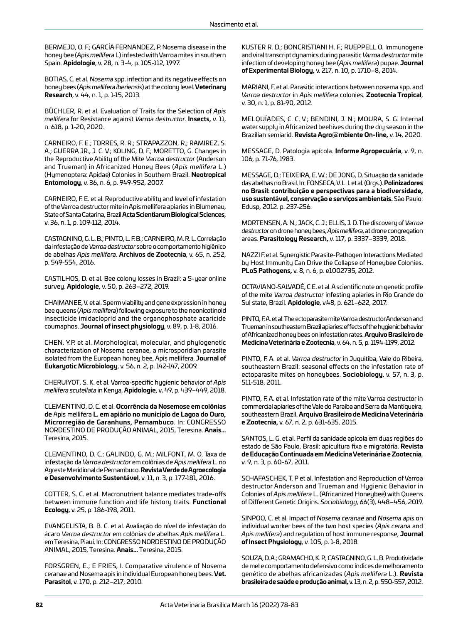BERMEJO, O. F.; GARCÍA FERNANDEZ, P. Nosema disease in the honey bee (*Apis mellifera* L) infested with Varroa mites in southern Spain. **Apidologie**, v. 28, n. 3-4, p. 105-112, 1997.

BOTIAS, C. et al. *Nosema* spp. infection and its negative effects on honey bees (*Apis mellifera iberiensis*) at the colony level. **Veterinary Research**, v. 44, n. 1, p. 1-15, 2013.

BÜCHLER, R. et al. Evaluation of Traits for the Selection of *Apis mellifera* for Resistance against *Varroa destructor*. **Insects,** v. 11, n. 618, p. 1-20, 2020.

CARNEIRO, F. E.; TORRES, R. R.; STRAPAZZON, R.; RAMIREZ, S. A.; GUERRA JR., J. C. V.; KOLING, D. F.; MORETTO, G. Changes in the Reproductive Ability of the Mite *Varroa destructor* (Anderson and Trueman) in Africanized Honey Bees (*Apis mellifera* L.) (Hymenoptera: Apidae) Colonies in Southern Brazil. **Neotropical Entomology**, v. 36, n. 6, p. 949-952, 2007.

CARNEIRO, F. E. et al. Reproductive ability and level of infestation of the Varroa destructor mite in Apis mellifera apiaries in Blumenau, State of Santa Catarina, Brazil **Acta Scientiarum Biological Sciences**, v. 36, n. 1, p. 109-112, 2014.

CASTAGNINO, G. L. B.; PINTO, L. F. B.; CARNEIRO, M. R. L. Correlação da infestação de *Varroa destructor* sobre o comportamento higiênico de abelhas *Apis mellifera.* **Archivos de Zootecnia**, v. 65, n. 252, p. 549-554, 2016.

CASTILHOS, D. et al. Bee colony losses in Brazil: a 5-year online survey. **Apidologie,** v. 50, p. 263–272, 2019.

CHAIMANEE, V. et al. Sperm viability and gene expression in honey bee queens (*Apis mellifera*) following exposure to the neonicotinoid insecticide imidacloprid and the organophosphate acaricide coumaphos. **Journal of insect physiology**, v. 89, p. 1-8, 2016.

CHEN, Y.P. et al. Morphological, molecular, and phylogenetic characterization of Nosema ceranae, a microsporidian parasite isolated from the European honey bee, Apis mellifera. **Journal of Eukaryotic Microbiology**, v. 56, n. 2, p. 142-147, 2009.

CHERUIYOT, S. K. et al. Varroa-specific hygienic behavior of *Apis mellifera scutellata* in Kenya, **Apidologie,** v**.**49, p. 439–449, 2018.

CLEMENTINO, D. C. et al. **Ocorrência da Nosemose em colônias de** Apis mellifera **L. em apiário no município de Lagoa do Ouro, Microrregião de Garanhuns, Pernambuco**. In: CONGRESSO NORDESTINO DE PRODUÇÃO ANIMAL, 2015, Teresina. **Anais...** Teresina, 2015.

CLEMENTINO, D. C.; GALINDO, G. M.; MILFONT, M. O. Taxa de infestação da *Varroa destructor* em colônias de *Apis mellifera* L. no Agreste Meridional de Pernambuco. **Revista Verde de Agroecologia e Desenvolvimento Sustentável**, v. 11, n. 3, p. 177-181, 2016.

COTTER, S. C. et al. Macronutrient balance mediates trade-offs between immune function and life history traits. **Functional Ecology**, v. 25, p. 186-198, 2011.

EVANGELISTA, B. B. C. et al. Avaliação do nível de infestação do ácaro *Varroa destructor* em colônias de abelhas *Apis mellifera* L. em Teresina, Piauí. In: CONGRESSO NORDESTINO DE PRODUÇÃO ANIMAL, 2015, Teresina. **Anais...** Teresina, 2015.

FORSGREN, E.; E FRIES, I. Comparative virulence of Nosema ceranae and Nosema apis in individual European honey bees. **Vet. Parasitol**, v. 170, p. 212–217, 2010.

KUSTER R. D.; BONCRISTIANI H. F.; RUEPPELL O. Immunogene and viral transcript dynamics during parasitic*Varroa destructor* mite infection of developing honey bee (*Apis mellifera*) pupae. **Journal of Experimental Biology,** v. 217, n. 10, p. 1710–8, 2014.

MARIANI, F. et al. Parasitic interactions between nosema spp. and *Varroa destructor* in *Apis mellifera* colonies. **Zootecnia Tropical**, v. 30, n. 1, p. 81-90, 2012.

MELQUÍADES, C. C. V.; BENDINI, J. N.; MOURA, S. G. Internal water supply in Africanized beehives during the dry season in the Brazilian semiarid. **Revista Agro@mbiente On-line,** v. 14, 2020.

MESSAGE, D. Patologia apícola. **Informe Agropecuária**, v. 9, n. 106, p. 71-76, 1983.

MESSAGE, D.; TEIXEIRA, E. W.; DE JONG, D. Situação da sanidade das abelhas no Brasil. In: FONSECA, V. L. I. etal. (Orgs.). **Polinizadores no Brasil: contribuição e perspectivas para a biodiversidade, uso sustentável, conservação e serviços ambientais.** São Paulo: Edusp, 2012. p. 237-256.

MORTENSEN, A. N.; JACK, C. J.; ELLIS, J. D. The discovery of*Varroa destructor*on drone honey bees,*Apis mellifera*, at drone congregation areas. **Parasitology Research,** v. 117, p. 3337–3339, 2018.

NAZZI F. et al. Synergistic Parasite-Pathogen Interactions Mediated by Host Immunity Can Drive the Collapse of Honeybee Colonies. **PLoS Pathogens,** v. 8, n. 6, p. e1002735, 2012.

OCTAVIANO-SALVADÉ, C.E. et al.A scientific note on genetic profile of the mite *Varroa destructor* infesting apiaries in Rio Grande do Sul state, Brazil. **Apidologie**, v.48, p. 621–622, 2017.

PINTO, F.A. et al. The ectoparasite mite Varroa destructor Anderson and Trueman in southeastern Brazil apiaries: effects of the hygienic behavior of Africanized honey bees on infestation rates. **Arquivo Brasileiro de Medicina Veterinária e Zootecnia**, v. 64, n. 5, p. 1194-1199, 2012.

PINTO, F. A. et al. *Varroa destructor* in Juquitiba, Vale do Ribeira, southeastern Brazil: seasonal effects on the infestation rate of ectoparasite mites on honeybees. **Sociobiology**, v. 57, n. 3, p. 511-518, 2011.

PINTO, F. A. et al. Infestation rate of the mite Varroa destructor in commercial apiaries of the Vale do Paraíba and Serra da Mantiqueira, southeastern Brazil. **Arquivo Brasileiro de Medicina Veterinária e Zootecnia,** v. 67, n. 2, p. 631-635, 2015.

SANTOS, L. G. et al. Perfil da sanidade apícola em duas regiões do estado de São Paulo, Brasil: apicultura fixa e migratória. **Revista de Educação Continuada em Medicina Veterinária e Zootecnia**, v. 9, n. 3, p. 60-67, 2011.

SCHAFASCHEK, T. P et al. Infestation and Reproduction of Varroa destructor Anderson and Trueman and Hygienic Behavior in Colonies of *Apis mellifera* L. (Africanized Honeybee) with Queens of Different Genetic Origins. *Sociobiology*, *66*(3), 448–456, 2019.

SINPOO, C. et al. Impact of *Nosema ceranae* and *Nosema apis* on individual worker bees of the two host species (*Apis cerana* and *Apis mellifera*) and regulation of host immune response, **Journal of Insect Physiology**, v. 105, p. 1-8, 2018.

SOUZA, D. A.; GRAMACHO, K. P.; CASTAGNINO, G. L. B.Produtividade de mel e comportamento defensivo como índices de melhoramento genético de abelhas africanizadas (*Apis mellifera* L.). **Revista brasileira de saúde e produção animal,** v. 13, n. 2, p. 550-557, 2012.